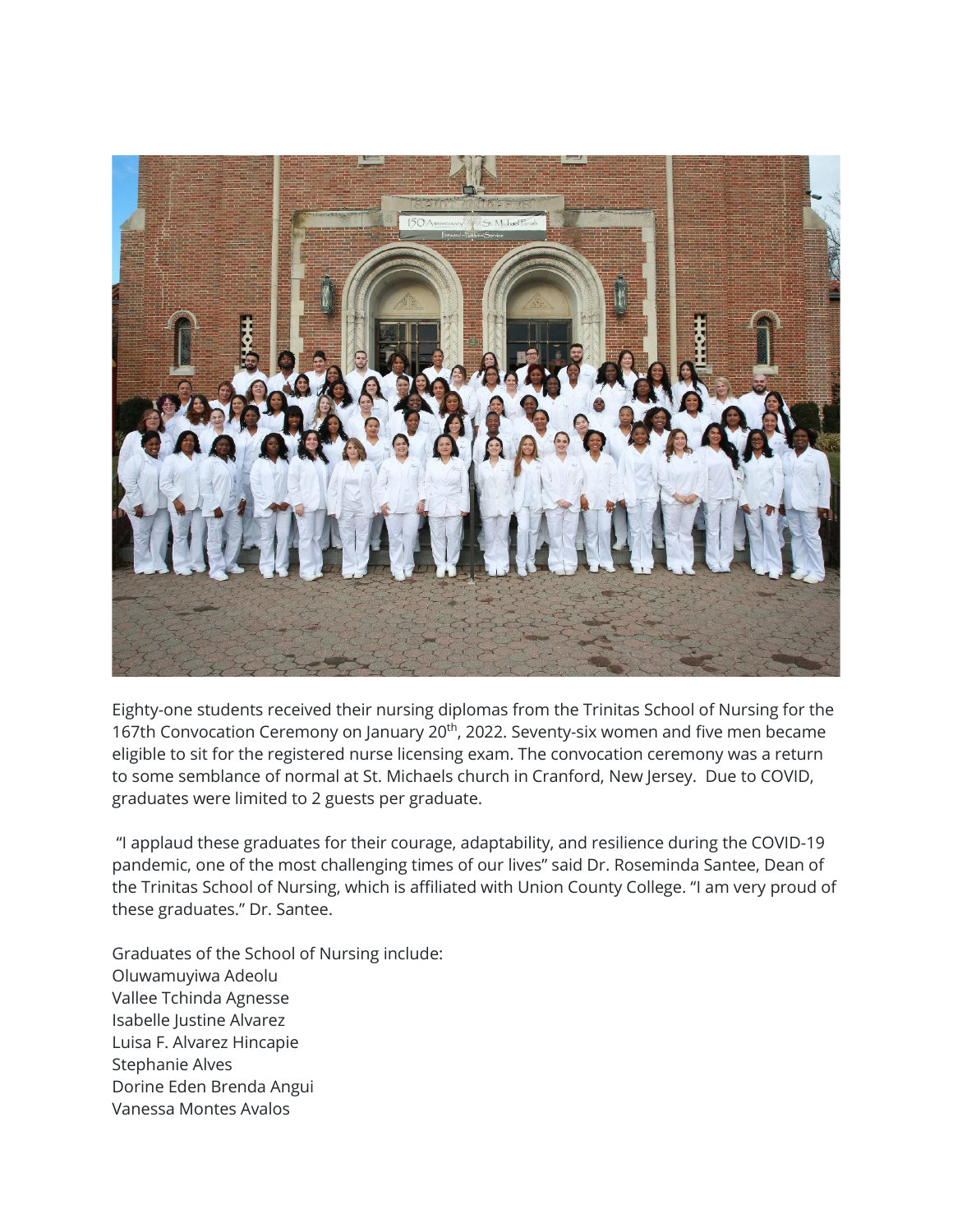

Eighty-one students received their nursing diplomas from the Trinitas School of Nursing for the 167th Convocation Ceremony on January 20<sup>th</sup>, 2022. Seventy-six women and five men became eligible to sit for the registered nurse licensing exam. The convocation ceremony was a return to some semblance of normal at St. Michaels church in Cranford, New Jersey. Due to COVID, graduates were limited to 2 guests per graduate.

"I applaud these graduates for their courage, adaptability, and resilience during the COVID-19 pandemic, one of the most challenging times of our lives" said Dr. Roseminda Santee, Dean of the Trinitas School of Nursing, which is affiliated with Union County College. "I am very proud of these graduates." Dr. Santee.

Graduates of the School of Nursing include: Oluwamuyiwa Adeolu Vallee Tchinda Agnesse Isabelle Justine Alvarez Luisa F. Alvarez Hincapie Stephanie Alves Dorine Eden Brenda Angui Vanessa Montes Avalos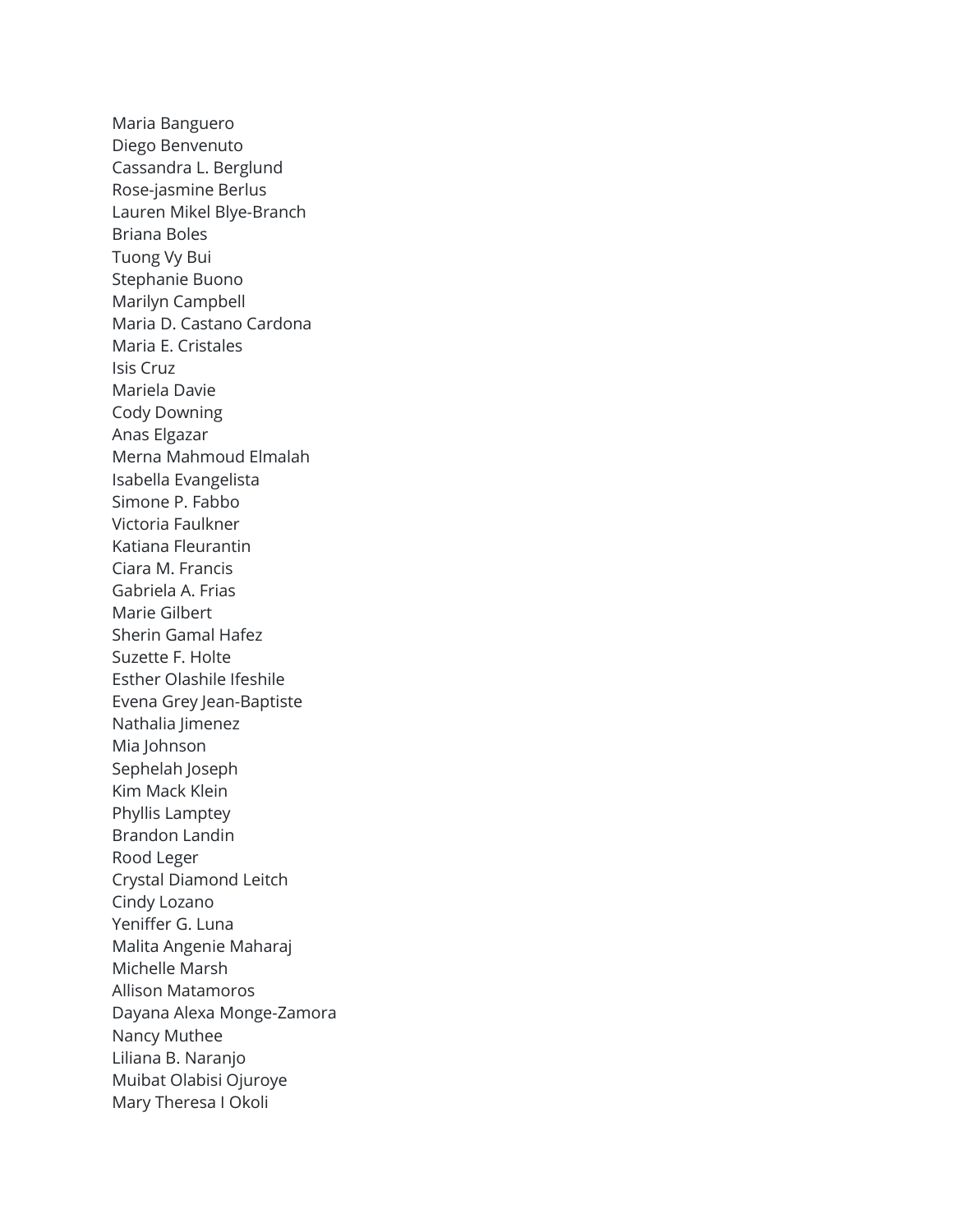Maria Banguero Diego Benvenuto Cassandra L. Berglund Rose-jasmine Berlus Lauren Mikel Blye-Branch Briana Boles Tuong Vy Bui Stephanie Buono Marilyn Campbell Maria D. Castano Cardona Maria E. Cristales Isis Cruz Mariela Davie Cody Downing Anas Elgazar Merna Mahmoud Elmalah Isabella Evangelista Simone P. Fabbo Victoria Faulkner Katiana Fleurantin Ciara M. Francis Gabriela A. Frias Marie Gilbert Sherin Gamal Hafez Suzette F. Holte Esther Olashile Ifeshile Evena Grey Jean-Baptiste Nathalia Jimenez Mia Johnson Sephelah Joseph Kim Mack Klein Phyllis Lamptey Brandon Landin Rood Leger Crystal Diamond Leitch Cindy Lozano Yeniffer G. Luna Malita Angenie Maharaj Michelle Marsh Allison Matamoros Dayana Alexa Monge-Zamora Nancy Muthee Liliana B. Naranjo Muibat Olabisi Ojuroye Mary Theresa I Okoli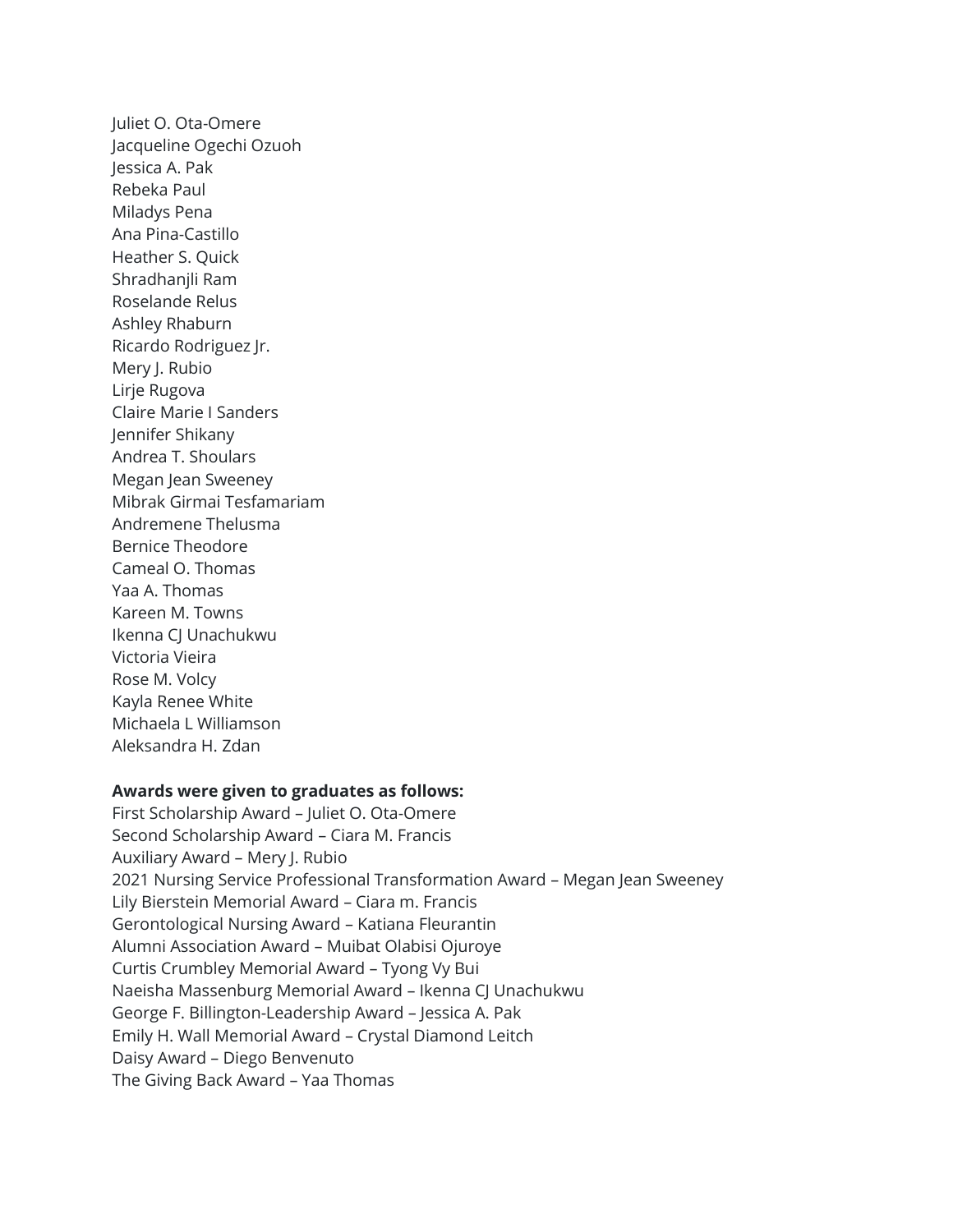Juliet O. Ota-Omere Jacqueline Ogechi Ozuoh Jessica A. Pak Rebeka Paul Miladys Pena Ana Pina-Castillo Heather S. Quick Shradhanjli Ram Roselande Relus Ashley Rhaburn Ricardo Rodriguez Jr. Mery J. Rubio Lirje Rugova Claire Marie I Sanders Jennifer Shikany Andrea T. Shoulars Megan Jean Sweeney Mibrak Girmai Tesfamariam Andremene Thelusma Bernice Theodore Cameal O. Thomas Yaa A. Thomas Kareen M. Towns Ikenna CJ Unachukwu Victoria Vieira Rose M. Volcy Kayla Renee White Michaela L Williamson Aleksandra H. Zdan

## **Awards were given to graduates as follows:**

First Scholarship Award – Juliet O. Ota-Omere Second Scholarship Award – Ciara M. Francis Auxiliary Award – Mery J. Rubio 2021 Nursing Service Professional Transformation Award – Megan Jean Sweeney Lily Bierstein Memorial Award – Ciara m. Francis Gerontological Nursing Award – Katiana Fleurantin Alumni Association Award – Muibat Olabisi Ojuroye Curtis Crumbley Memorial Award – Tyong Vy Bui Naeisha Massenburg Memorial Award – Ikenna CJ Unachukwu George F. Billington-Leadership Award – Jessica A. Pak Emily H. Wall Memorial Award – Crystal Diamond Leitch Daisy Award – Diego Benvenuto The Giving Back Award – Yaa Thomas